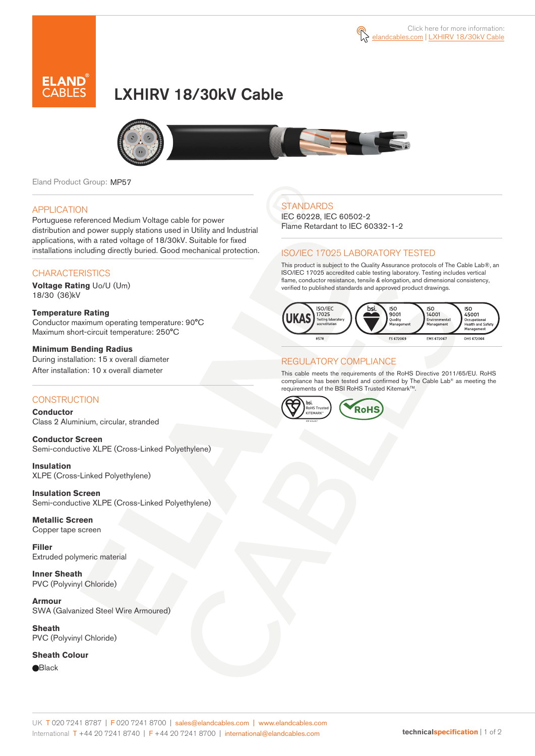



# LXHIRV 18/30kV Cable



Eland Product Group: MP57

#### APPLICATION

Portuguese referenced Medium Voltage cable for power distribution and power supply stations used in Utility and Industrial applications, with a rated voltage of 18/30kV. Suitable for fixed installations including directly buried. Good mechanical protection.

### **CHARACTERISTICS**

**Voltage Rating** Uo/U (Um) 18/30 (36)kV

**Temperature Rating**  Conductor maximum operating temperature: 90°C Maximum short-circuit temperature: 250°C

**Minimum Bending Radius**  During installation: 15 x overall diameter After installation: 10 x overall diameter

### **CONSTRUCTION**

**Conductor**  Class 2 Aluminium, circular, stranded

**Conductor Screen** Semi-conductive XLPE (Cross-Linked Polyethylene)

**Insulation** XLPE (Cross-Linked Polyethylene)

**Insulation Screen** Semi-conductive XLPE (Cross-Linked Polyethylene)

**Metallic Screen**  Copper tape screen

**Filler** Extruded polymeric material

**Inner Sheath** PVC (Polyvinyl Chloride)

**Armour** SWA (Galvanized Steel Wire Armoured)

**Sheath** PVC (Polyvinyl Chloride)

**Sheath Colour** 

**Black** 

### **STANDARDS**

IEC 60228, IEC 60502-2 Flame Retardant to IEC 60332-1-2

#### ISO/IEC 17025 LABORATORY TESTED

This product is subject to the Quality Assurance protocols of The Cable Lab®, an ISO/IEC 17025 accredited cable testing laboratory. Testing includes vertical flame, conductor resistance, tensile & elongation, and dimensional consistency, verified to published standards and approved product drawings.



### REGULATORY COMPLIANCE

This cable meets the requirements of the RoHS Directive 2011/65/EU. RoHS compliance has been tested and confirmed by The Cable Lab® as meeting the requirements of the BSI RoHS Trusted Kitemark™.